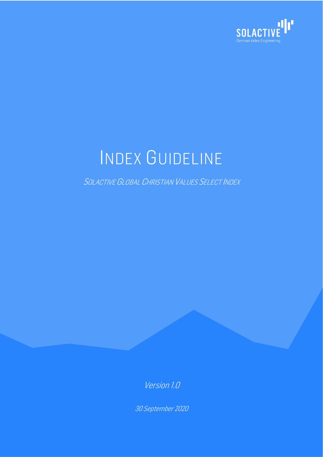

# INDEX GUIDELINE

SOLACTIVE GLOBAL CHRISTIAN VALUES SELECT INDEX

Version 1.0

30 September 2020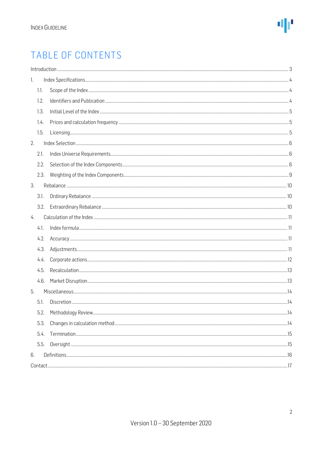

### TABLE OF CONTENTS

| 1.            |  |
|---------------|--|
| 1.1.          |  |
| 1.2.          |  |
| 1.3.          |  |
| 1.4.          |  |
| 1.5.          |  |
| 2.            |  |
| 2.1.          |  |
| 2.2.          |  |
| 2.3.          |  |
| 3.            |  |
| 3.1.          |  |
| 3.2.          |  |
| $\frac{1}{4}$ |  |
| 4.1.          |  |
| 4.2.          |  |
| 4.3.          |  |
| 4.4.          |  |
| 4.5.          |  |
| 4.6.          |  |
| 5.            |  |
| 5.1.          |  |
| 5.2.          |  |
| 5.3.          |  |
| 5.4.          |  |
| 5.5.          |  |
| 6.            |  |
|               |  |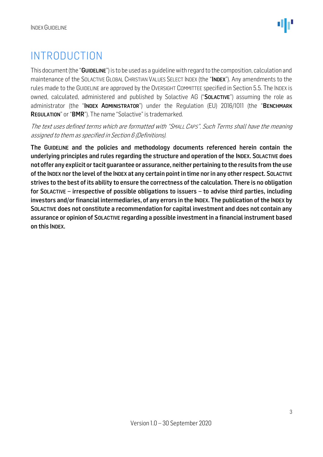### <span id="page-2-0"></span>INTRODUCTION

This document (the "GUIDELINE") is to be used as a guideline with regard to the composition, calculation and maintenance of the SOLACTIVE GLOBAL CHRISTIAN VALUES SELECT INDEX (the "INDEX"). Any amendments to the rules made to the GUIDELINE are approved by the OVERSIGHT COMMITTEE specified in Section 5.5. The INDEX is owned, calculated, administered and published by Solactive AG ("SOLACTIVE") assuming the role as administrator (the "INDEX ADMINISTRATOR") under the Regulation (EU) 2016/1011 (the "BENCHMARK REGULATION" or "BMR"). The name "Solactive" is trademarked.

The text uses defined terms which are formatted with "SMALL CAPS". Such Terms shall have the meaning assigned to them as specified in Section 6 (Definitions).

The GUIDELINE and the policies and methodology documents referenced herein contain the underlying principles and rules regarding the structure and operation of the INDEX. SOLACTIVE does not offer any explicit or tacit guarantee or assurance, neither pertaining to the results from the use of the INDEX nor the level of the INDEX at any certain point in time nor in any other respect. SOLACTIVE strives to the best of its ability to ensure the correctness of the calculation. There is no obligation for SOLACTIVE – irrespective of possible obligations to issuers – to advise third parties, including investors and/or financial intermediaries, of any errors in the INDEX. The publication of the INDEX by SOLACTIVE does not constitute a recommendation for capital investment and does not contain any assurance or opinion of SOLACTIVE regarding a possible investment in a financial instrument based on this INDEX.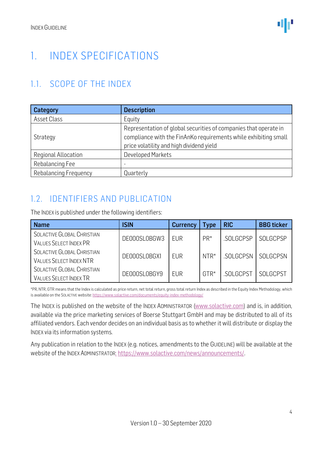### <span id="page-3-0"></span>1. INDEX SPECIFICATIONS

### <span id="page-3-1"></span>1.1. SCOPE OF THE INDEX

| Category              | <b>Description</b>                                               |
|-----------------------|------------------------------------------------------------------|
| Asset Class           | Equity                                                           |
|                       | Representation of global securities of companies that operate in |
| Strategy              | compliance with the FinAnKo requirements while exhibiting small  |
|                       | price volatility and high dividend yield                         |
| Regional Allocation   | Developed Markets                                                |
| Rebalancing Fee       | $\overline{\phantom{0}}$                                         |
| Rebalancing Frequency | Quarterly                                                        |

#### <span id="page-3-2"></span>1.2. IDENTIFIERS AND PUBLICATION

The INDEX is published under the following identifiers:

| <b>Name</b>                                                  | ISIN         | <b>Currency</b> | <b>Type</b> | <b>RIC</b> | <b>BBG</b> ticker |
|--------------------------------------------------------------|--------------|-----------------|-------------|------------|-------------------|
| SOLACTIVE GLOBAL CHRISTIAN<br><b>VALUES SELECT INDEX PR</b>  | DE000SL0BGW3 | <b>FUR</b>      | $PR*$       | .SOLGCPSP  | SOLGCPSP          |
| SOLACTIVE GLOBAL CHRISTIAN<br><b>VALUES SELECT INDEX NTR</b> | DE000SL0BGX1 | <b>EUR</b>      | $NTR*$      | .SOLGCPSN  | SOLGCPSN          |
| SOLACTIVE GLOBAL CHRISTIAN<br><b>VALUES SELECT INDEX TR</b>  | DE000SL0BGY9 | <b>EUR</b>      | $GTR*$      | .SOLGCPST  | SOLGCPST          |

\*PR, NTR, GTR means that the Index is calculated as price return, net total return, gross total return Index as described in the Equity Index Methodology, which is available on the SOLACTIVE website[: https://www.solactive.com/documents/equity-index-methodology/](https://www.solactive.com/documents/equity-index-methodology/)

The INDEX is published on the website of the INDEX ADMINISTRATOR [\(www.solactive.com\)](http://www.solactive.com/) and is, in addition, available via the price marketing services of Boerse Stuttgart GmbH and may be distributed to all of its affiliated vendors. Each vendor decides on an individual basis as to whether it will distribute or display the INDEX via its information systems.

Any publication in relation to the INDEX (e.g. notices, amendments to the GUIDELINE) will be available at the website of the INDEX ADMINISTRATOR: [https://www.solactive.com/news/announcements/.](https://www.solactive.com/news/announcements/)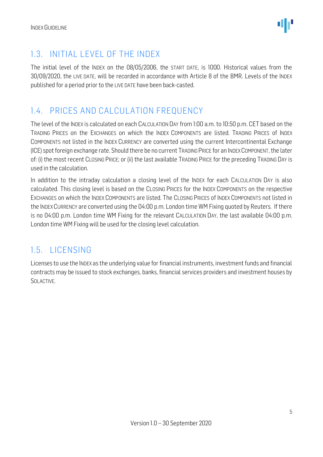

### <span id="page-4-0"></span>1.3. INITIAL LEVEL OF THE INDEX

The initial level of the INDEX on the 08/05/2006, the START DATE, is 1000. Historical values from the 30/09/2020, the LIVE DATE, will be recorded in accordance with Article 8 of the BMR. Levels of the INDEX published for a period prior to the LIVE DATE have been back-casted.

### <span id="page-4-1"></span>1.4. PRICES AND CALCULATION FREQUENCY

The level of the INDEX is calculated on each CALCULATION DAY from 1:00 a.m. to 10:50 p.m. CET based on the TRADING PRICES on the EXCHANGES on which the INDEX COMPONENTS are listed. TRADING PRICES of INDEX COMPONENTS not listed in the INDEX CURRENCY are converted using the current Intercontinental Exchange (ICE) spot foreign exchange rate. Should there be no current TRADING PRICE for an INDEXCOMPONENT, the later of: (i) the most recent CLOSING PRICE; or (ii) the last available TRADING PRICE for the preceding TRADING DAY is used in the calculation.

In addition to the intraday calculation a closing level of the INDEX for each CALCULATION DAY is also calculated. This closing level is based on the CLOSING PRICES for the INDEX COMPONENTS on the respective EXCHANGES on which the INDEX COMPONENTS are listed. The CLOSING PRICES of INDEX COMPONENTS not listed in the INDEXCURRENCY are converted using the 04:00 p.m. London time WM Fixing quoted by Reuters. If there is no 04:00 p.m. London time WM Fixing for the relevant CALCULATION DAY, the last available 04:00 p.m. London time WM Fixing will be used for the closing level calculation.

### <span id="page-4-2"></span>1.5. LICENSING

Licenses to use the INDEX as the underlying value for financial instruments, investment funds and financial contracts may be issued to stock exchanges, banks, financial services providers and investment houses by SOLACTIVE.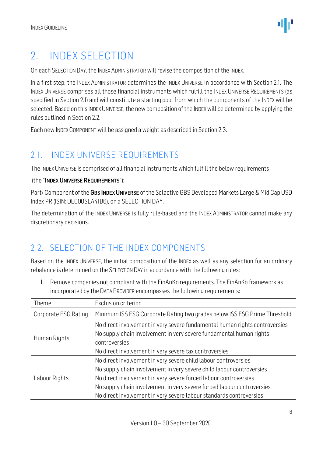### <span id="page-5-0"></span>2. INDEX SELECTION

On each SELECTION DAY, the INDEX ADMINISTRATOR will revise the composition of the INDEX.

In a first step, the INDEX ADMINISTRATOR determines the INDEX UNIVERSE in accordance with Section 2.1. The INDEX UNIVERSE comprises all those financial instruments which fulfill the INDEX UNIVERSE REQUIREMENTS (as specified in Section 2.1) and will constitute a starting pool from which the components of the INDEX will be selected. Based on this INDEX UNIVERSE, the new composition of the INDEX will be determined by applying the rules outlined in Section 2.2.

Each new INDEXCOMPONENT will be assigned a weight as described in Section 2.3.

### <span id="page-5-1"></span>2.1. INDEX UNIVERSE REQUIREMENTS

The INDEX UNIVERSE is comprised of all financial instruments which fulfill the below requirements

#### (the "INDEX UNIVERSE REQUIREMENTS"):

Part/ Component of the GBS INDEX UNIVERSE of the Solactive GBS Developed Markets Large & Mid Cap USD [Index PR](http://test9.nbg.solactive.com/web/commons/indices/home/9308) (ISIN: DE000SLA41B6), on a SELECTION DAY.

The determination of the INDEX UNIVERSE is fully rule-based and the INDEX ADMINISTRATOR cannot make any discretionary decisions.

### <span id="page-5-2"></span>2.2. SELECTION OF THE INDEX COMPONENTS

Based on the INDEX UNIVERSE, the initial composition of the INDEX as well as any selection for an ordinary rebalance is determined on the SELECTION DAY in accordance with the following rules:

1. Remove companies not compliant with the FinAnKo requirements. The FinAnKo framework as incorporated by the DATA PROVIDER encompasses the following requirements:

| Theme                | Exclusion criterion                                                                                                                                                                                                                                                                                                                                           |
|----------------------|---------------------------------------------------------------------------------------------------------------------------------------------------------------------------------------------------------------------------------------------------------------------------------------------------------------------------------------------------------------|
| Corporate ESG Rating | Minimum ISS ESG Corporate Rating two grades below ISS ESG Prime Threshold                                                                                                                                                                                                                                                                                     |
| Human Rights         | No direct involvement in very severe fundamental human rights controversies<br>No supply chain involvement in very severe fundamental human rights<br>controversies<br>No direct involvement in very severe tax controversies                                                                                                                                 |
| Labour Rights        | No direct involvement in very severe child labour controversies<br>No supply chain involvement in very severe child labour controversies<br>No direct involvement in very severe forced labour controversies<br>No supply chain involvement in very severe forced labour controversies<br>No direct involvement in very severe labour standards controversies |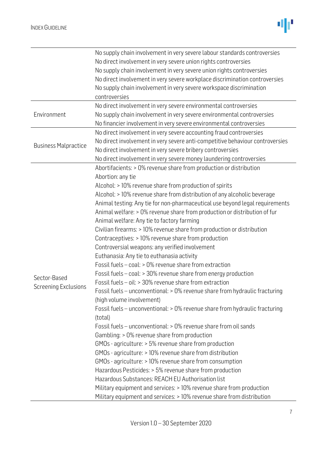

|                             | No supply chain involvement in very severe labour standards controversies     |
|-----------------------------|-------------------------------------------------------------------------------|
|                             | No direct involvement in very severe union rights controversies               |
|                             | No supply chain involvement in very severe union rights controversies         |
|                             | No direct involvement in very severe workplace discrimination controversies   |
|                             | No supply chain involvement in very severe workspace discrimination           |
|                             | controversies                                                                 |
|                             | No direct involvement in very severe environmental controversies              |
| Environment                 | No supply chain involvement in very severe environmental controversies        |
|                             | No financier involvement in very severe environmental controversies           |
|                             | No direct involvement in very severe accounting fraud controversies           |
|                             | No direct involvement in very severe anti-competitive behaviour controversies |
| <b>Business Malpractice</b> | No direct involvement in very severe bribery controversies                    |
|                             | No direct involvement in very severe money laundering controversies           |
|                             | Abortifacients: > 0% revenue share from production or distribution            |
|                             | Abortion: any tie                                                             |
|                             | Alcohol: > 10% revenue share from production of spirits                       |
|                             | Alcohol: > 10% revenue share from distribution of any alcoholic beverage      |
|                             | Animal testing: Any tie for non-pharmaceutical use beyond legal requirements  |
|                             | Animal welfare: > 0% revenue share from production or distribution of fur     |
|                             | Animal welfare: Any tie to factory farming                                    |
|                             | Civilian firearms: > 10% revenue share from production or distribution        |
|                             | Contraceptives: > 10% revenue share from production                           |
|                             | Controversial weapons: any verified involvement                               |
|                             | Euthanasia: Any tie to euthanasia activity                                    |
|                             | Fossil fuels - coal: > 0% revenue share from extraction                       |
|                             | Fossil fuels - coal: > 30% revenue share from energy production               |
| Sector-Based                | Fossil fuels - oil: > 30% revenue share from extraction                       |
| <b>Screening Exclusions</b> | Fossil fuels - unconventional: > 0% revenue share from hydraulic fracturing   |
|                             | (high volume involvement)                                                     |
|                             | Fossil fuels - unconventional: > 0% revenue share from hydraulic fracturing   |
|                             | (total)                                                                       |
|                             | Fossil fuels - unconventional: > 0% revenue share from oil sands              |
|                             | Gambling: > 0% revenue share from production                                  |
|                             | GMOs - agriculture: > 5% revenue share from production                        |
|                             |                                                                               |
|                             | GMOs - agriculture: > 10% revenue share from distribution                     |
|                             | GMOs - agriculture: > 10% revenue share from consumption                      |
|                             | Hazardous Pesticides: > 5% revenue share from production                      |
|                             | Hazardous Substances: REACH EU Authorisation list                             |
|                             | Military equipment and services: > 10% revenue share from production          |
|                             | Military equipment and services: > 10% revenue share from distribution        |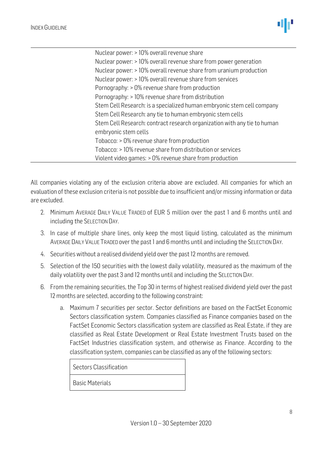

Nuclear power: > 10% overall revenue share Nuclear power: > 10% overall revenue share from power generation Nuclear power: > 10% overall revenue share from uranium production Nuclear power: > 10% overall revenue share from services Pornography: > 0% revenue share from production Pornography: > 10% revenue share from distribution Stem Cell Research: is a specialized human embryonic stem cell company Stem Cell Research: any tie to human embryonic stem cells Stem Cell Research: contract research organization with any tie to human embryonic stem cells Tobacco: > 0% revenue share from production Tobacco: > 10% revenue share from distribution or services Violent video games: > 0% revenue share from production

All companies violating any of the exclusion criteria above are excluded. All companies for which an evaluation of these exclusion criteria is not possible due to insufficient and/or missing information or data are excluded.

- 2. Minimum AVERAGE DAILY VALUE TRADED of EUR 5 million over the past 1 and 6 months until and including the SELECTION DAY.
- 3. In case of multiple share lines, only keep the most liquid listing, calculated as the minimum AVERAGE DAILY VALUE TRADED over the past 1 and 6 months until and including the SELECTION DAY.
- 4. Securities without a realised dividend yield over the past 12 months are removed.
- 5. Selection of the 150 securities with the lowest daily volatility, measured as the maximum of the daily volatility over the past 3 and 12 months until and including the SELECTION DAY.
- 6. From the remaining securities, the Top 30 in terms of highest realised dividend yield over the past 12 months are selected, according to the following constraint:
	- a. Maximum 7 securities per sector. Sector definitions are based on the FactSet Economic Sectors classification system. Companies classified as Finance companies based on the FactSet Economic Sectors classification system are classified as Real Estate, if they are classified as Real Estate Development or Real Estate Investment Trusts based on the FactSet Industries classification system, and otherwise as Finance. According to the classification system, companies can be classified as any of the following sectors:

Sectors Classification

Basic Materials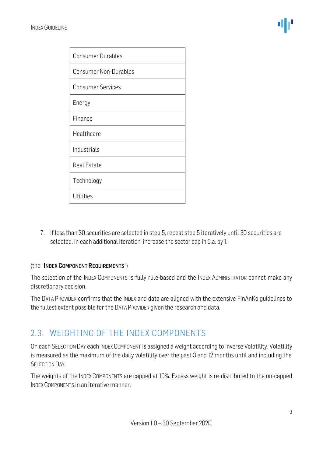| <b>Consumer Durables</b>     |
|------------------------------|
| <b>Consumer Non-Durables</b> |
| <b>Consumer Services</b>     |
| Energy                       |
| Finance                      |
| Healthcare                   |
| Industrials                  |
| <b>Real Estate</b>           |
| Technology                   |
| Utilities                    |

7. If less than 30 securities are selected in step 5, repeat step 5 iteratively until 30 securities are selected. In each additional iteration, increase the sector cap in 5.a. by 1.

#### (the "INDEX COMPONENT REQUIREMENTS")

The selection of the INDEX COMPONENTS is fully rule-based and the INDEX ADMINISTRATOR cannot make any discretionary decision.

The DATA PROVIDER confirms that the INDEX and data are aligned with the extensive FinAnKo guidelines to the fullest extent possible for the DATA PROVIDER given the research and data.

#### <span id="page-8-0"></span>2.3. WEIGHTING OF THE INDEX COMPONENTS

On each SELECTION DAY each INDEXCOMPONENT is assigned a weight according to Inverse Volatility. Volatility is measured as the maximum of the daily volatility over the past 3 and 12 months until and including the SELECTION DAY.

The weights of the INDEX COMPONENTS are capped at 10%. Excess weight is re-distributed to the un-capped INDEX COMPONENTS in an iterative manner.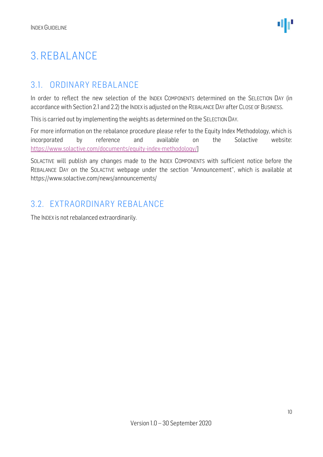## <span id="page-9-0"></span>3. REBALANCE

### <span id="page-9-1"></span>3.1. ORDINARY REBALANCE

In order to reflect the new selection of the INDEX COMPONENTS determined on the SELECTION DAY (in accordance with Section 2.1 and 2.2) the INDEX is adjusted on the REBALANCE DAY after CLOSE OF BUSINESS.

This is carried out by implementing the weights as determined on the SELECTION DAY.

For more information on the rebalance procedure please refer to the Equity Index Methodology, which is incorporated by reference and available on the Solactive website: [https://www.solactive.com/documents/equity-index-methodology/\]](https://www.solactive.com/documents/equity-index-methodology/)

SOLACTIVE will publish any changes made to the INDEX COMPONENTS with sufficient notice before the REBALANCE DAY on the SOLACTIVE webpage under the section "Announcement", which is available at https://www.solactive.com/news/announcements/

### <span id="page-9-2"></span>3.2. EXTRAORDINARY REBALANCE

The INDEX is not rebalanced extraordinarily.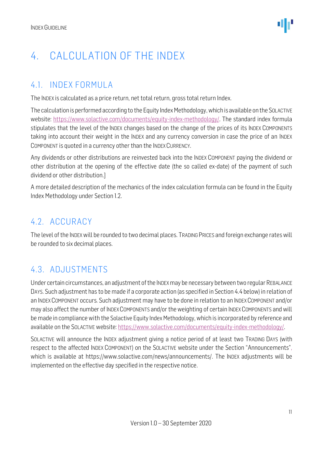## <span id="page-10-0"></span>4. CALCULATION OF THE INDEX

### <span id="page-10-1"></span>4.1. INDEX FORMULA

The INDEX is calculated as a price return, net total return, gross total return Index.

The calculation is performed according to the Equity Index Methodology, which is available on the SOLACTIVE website: [https://www.solactive.com/documents/equity-index-methodology/.](https://www.solactive.com/documents/equity-index-methodology/) The standard index formula stipulates that the level of the INDEX changes based on the change of the prices of its INDEX COMPONENTS taking into account their weight in the INDEX and any currency conversion in case the price of an INDEX COMPONENT is quoted in a currency other than the INDEXCURRENCY.

Any dividends or other distributions are reinvested back into the INDEX COMPONENT paying the dividend or other distribution at the opening of the effective date (the so called ex-date) of the payment of such dividend or other distribution.]

A more detailed description of the mechanics of the index calculation formula can be found in the Equity Index Methodology under Section 1.2.

#### <span id="page-10-2"></span>4.2. ACCURACY

The level of the INDEXwill be rounded to two decimal places. TRADING PRICES and foreign exchange rates will be rounded to six decimal places.

### <span id="page-10-3"></span>4.3. ADJUSTMENTS

Under certain circumstances, an adjustment of the INDEXmay be necessary between two regular REBALANCE DAYS. Such adjustment has to be made if a corporate action (as specified in Section 4.4 below) in relation of an INDEXCOMPONENT occurs. Such adjustment may have to be done in relation to an INDEXCOMPONENT and/or may also affect the number of INDEXCOMPONENTS and/or the weighting of certain INDEXCOMPONENTS and will be made in compliance with the Solactive Equity Index Methodology, which is incorporated by reference and available on the SOLACTIVE website: [https://www.solactive.com/documents/equity-index-methodology/.](https://www.solactive.com/documents/equity-index-methodology/)

SOLACTIVE will announce the INDEX adjustment giving a notice period of at least two TRADING DAYS (with respect to the affected INDEX COMPONENT) on the SOLACTIVE website under the Section "Announcements", which is available at https://www.solactive.com/news/announcements/. The INDEX adjustments will be implemented on the effective day specified in the respective notice.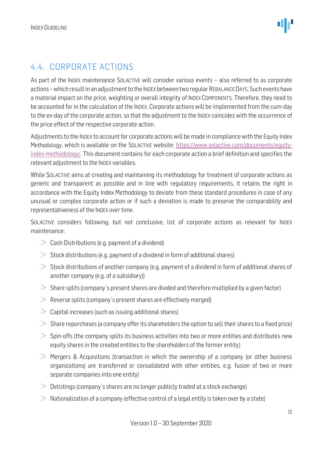### <span id="page-11-0"></span>4.4. CORPORATE ACTIONS

As part of the INDEX maintenance SOLACTIVE will consider various events – also referred to as corporate actions –which result in an adjustment to the INDEX between two regular REBALANCE DAYS. Such events have a material impact on the price, weighting or overall integrity of INDEX COMPONENTS. Therefore, they need to be accounted for in the calculation of the INDEX. Corporate actions will be implemented from the cum-day to the ex-day of the corporate action, so that the adjustment to the INDEX coincides with the occurrence of the price effect of the respective corporate action.

Adjustments to the INDEX to account for corporate actions will be made in compliance with the Equity Index Methodology, which is available on the SOLACTIVE website: [https://www.solactive.com/documents/equity](https://www.solactive.com/documents/equity-index-methodology/)[index-methodology/.](https://www.solactive.com/documents/equity-index-methodology/) This document contains for each corporate action a brief definition and specifies the relevant adjustment to the INDEX variables.

While SOLACTIVE aims at creating and maintaining its methodology for treatment of corporate actions as generic and transparent as possible and in line with regulatory requirements, it retains the right in accordance with the Equity Index Methodology to deviate from these standard procedures in case of any unusual or complex corporate action or if such a deviation is made to preserve the comparability and representativeness of the INDEX over time.

SOLACTIVE considers following, but not conclusive, list of corporate actions as relevant for INDEX maintenance:

- $\geq$  Cash Distributions (e.g. payment of a dividend)
- $>$  Stock distributions (e.g. payment of a dividend in form of additional shares)
- $>$  Stock distributions of another company (e.g. payment of a dividend in form of additional shares of another company (e.g. of a subsidiary))
- $>$  Share splits (company's present shares are divided and therefore multiplied by a given factor)
- $\geq$  Reverse splits (company's present shares are effectively merged)
- $>$  Capital increases (such as issuing additional shares)
- $>$  Share repurchases (a company offer its shareholders the option to sell their shares to a fixed price)
- $>$  Spin-offs (the company splits its business activities into two or more entities and distributes new equity shares in the created entities to the shareholders of the former entity)
- $>$  Mergers & Acquisitions (transaction in which the ownership of a company (or other business organizations) are transferred or consolidated with other entities, e.g. fusion of two or more separate companies into one entity)
- $\geq$  Delistings (company's shares are no longer publicly traded at a stock exchange)
- $>$  Nationalization of a company (effective control of a legal entity is taken over by a state)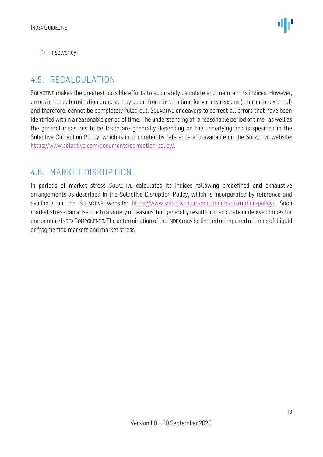$>$  Insolvency

### <span id="page-12-0"></span>4.5. RECALCULATION

SOLACTIVE makes the greatest possible efforts to accurately calculate and maintain its indices. However, errors in the determination process may occur from time to time for variety reasons (internal or external) and therefore, cannot be completely ruled out. SOLACTIVE endeavors to correct all errors that have been identified within a reasonable period of time. The understanding of "a reasonable period of time" as well as the general measures to be taken are generally depending on the underlying and is specified in the Solactive Correction Policy, which is incorporated by reference and available on the SOLACTIVE website: [https://www.solactive.com/documents/correction-policy/.](https://www.solactive.com/documents/correction-policy/)

#### <span id="page-12-1"></span>4.6. MARKET DISRUPTION

In periods of market stress SOLACTIVE calculates its indices following predefined and exhaustive arrangements as described in the Solactive Disruption Policy, which is incorporated by reference and available on the SOLACTIVE website: [https://www.solactive.com/documents/disruption-policy/.](https://www.solactive.com/documents/disruption-policy/) Such market stress can arise due to a variety of reasons, but generally results in inaccurate or delayed prices for one or more INDEXCOMPONENTS. The determination of the INDEXmay be limited or impaired at times of illiquid or fragmented markets and market stress.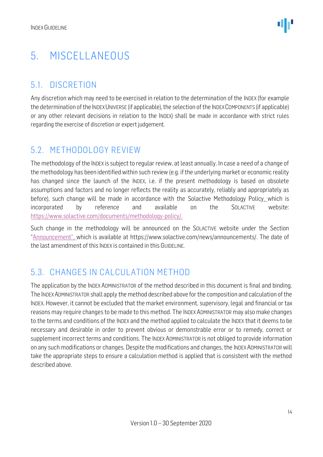## <span id="page-13-0"></span>5. MISCELLANEOUS

### <span id="page-13-1"></span>5.1. DISCRETION

Any discretion which may need to be exercised in relation to the determination of the INDEX (for example the determination of the INDEXUNIVERSE (if applicable), the selection of the INDEXCOMPONENTS (if applicable) or any other relevant decisions in relation to the INDEX) shall be made in accordance with strict rules regarding the exercise of discretion or expert judgement.

#### <span id="page-13-2"></span>5.2. METHODOLOGY REVIEW

The methodology of the INDEX is subject to regular review, at least annually. In case a need of a change of the methodology has been identified within such review (e.g. if the underlying market or economic reality has changed since the launch of the INDEX, i.e. if the present methodology is based on obsolete assumptions and factors and no longer reflects the reality as accurately, reliably and appropriately as before), such change will be made in accordance with the Solactive Methodology Policy, which is incorporated by reference and available on the SOLACTIVE website: [https://www.solactive.com/documents/methodology-policy/.](https://www.solactive.com/documents/methodology-policy/)

Such change in the methodology will be announced on the SOLACTIVE website under the Section "Announcement", which is available at https://www.solactive.com/news/announcements/. The date of the last amendment of this INDEX is contained in this GUIDELINE.

### <span id="page-13-3"></span>5.3. CHANGES IN CALCULATION METHOD

The application by the INDEX ADMINISTRATOR of the method described in this document is final and binding. The INDEXADMINISTRATOR shall apply the method described above for the composition and calculation of the INDEX. However, it cannot be excluded that the market environment, supervisory, legal and financial or tax reasons may require changes to be made to this method. The INDEXADMINISTRATOR may also make changes to the terms and conditions of the INDEX and the method applied to calculate the INDEX that it deems to be necessary and desirable in order to prevent obvious or demonstrable error or to remedy, correct or supplement incorrect terms and conditions. The INDEX ADMINISTRATOR is not obliged to provide information on any such modifications or changes. Despite the modifications and changes, the INDEX ADMINISTRATOR will take the appropriate steps to ensure a calculation method is applied that is consistent with the method described above.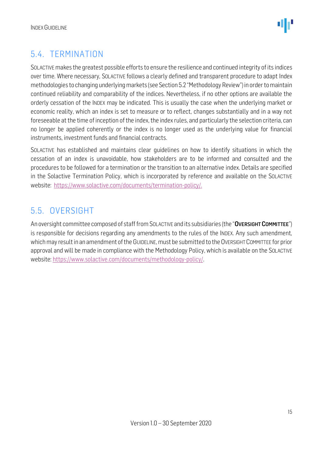

### <span id="page-14-0"></span>5.4. TERMINATION

SOLACTIVE makes the greatest possible efforts to ensure the resilience and continued integrity of its indices over time. Where necessary, SOLACTIVE follows a clearly defined and transparent procedure to adapt Index methodologies to changing underlying markets (see Section 5.2 "Methodology Review") in order to maintain continued reliability and comparability of the indices. Nevertheless, if no other options are available the orderly cessation of the INDEX may be indicated. This is usually the case when the underlying market or economic reality, which an index is set to measure or to reflect, changes substantially and in a way not foreseeable at the time of inception of the index, the index rules, and particularly the selection criteria, can no longer be applied coherently or the index is no longer used as the underlying value for financial instruments, investment funds and financial contracts.

SOLACTIVE has established and maintains clear guidelines on how to identify situations in which the cessation of an index is unavoidable, how stakeholders are to be informed and consulted and the procedures to be followed for a termination or the transition to an alternative index. Details are specified in the Solactive Termination Policy, which is incorporated by reference and available on the SOLACTIVE website: [https://www.solactive.com/documents/termination-policy/.](https://www.solactive.com/documents/termination-policy/)

### <span id="page-14-1"></span>5.5. OVERSIGHT

An oversight committee composed of staff from SOLACTIVE and its subsidiaries (the "OVERSIGHT COMMITTEE") is responsible for decisions regarding any amendments to the rules of the INDEX. Any such amendment, which may result in an amendment of the GUIDELINE, must be submitted to the OVERSIGHT COMMITTEE for prior approval and will be made in compliance with the [Methodology](http://methodology/) Policy, which is available on the SOLACTIVE website: [https://www.solactive.com/documents/methodology-policy/.](https://www.solactive.com/documents/methodology-policy/)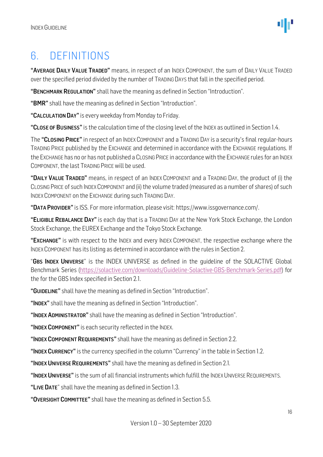### <span id="page-15-0"></span>6. DEFINITIONS

"AVERAGE DAILY VALUE TRADED" means, in respect of an INDEX COMPONENT, the sum of DAILY VALUE TRADED over the specified period divided by the number of TRADING DAYS that fall in the specified period.

"BENCHMARK REGULATION" shall have the meaning as defined in Section "Introduction".

"BMR" shall have the meaning as defined in Section "Introduction".

"CALCULATION DAY" is every weekday from Monday to Friday.

"CLOSE OF BUSINESS" is the calculation time of the closing level of the INDEX as outlined in Section 1.4.

The "CLOSING PRICE" in respect of an INDEX COMPONENT and a TRADING DAY is a security's final regular-hours TRADING PRICE published by the EXCHANGE and determined in accordance with the EXCHANGE regulations. If the EXCHANGE has no or has not published a CLOSING PRICE in accordance with the EXCHANGE rules for an INDEX COMPONENT, the last TRADING PRICEwill be used.

"DAILY VALUE TRADED" means, in respect of an INDEX COMPONENT and a TRADING DAY, the product of (i) the CLOSING PRICE of such INDEXCOMPONENT and (ii) the volume traded (measured as a number of shares) of such INDEX COMPONENT on the EXCHANGE during such TRADING DAY.

"DATA PROVIDER" is ISS. For more information, please visit: [https://www.issgovernance.com/.](https://www.issgovernance.com/)

"ELIGIBLE REBALANCE DAY" is each day that is a TRADING DAY at the New York Stock Exchange, the London Stock Exchange, the EUREX Exchange and the Tokyo Stock Exchange.

"EXCHANGE" is with respect to the INDEX and every INDEX COMPONENT, the respective exchange where the INDEXCOMPONENT has its listing as determined in accordance with the rules in Section 2.

"GBS INDEX UNIVERSE" is the INDEX UNIVERSE as defined in the quideline of the SOLACTIVE Global Benchmark Series [\(https://solactive.com/downloads/Guideline-Solactive-GBS-Benchmark-Series.pdf\)](https://solactive.com/downloads/Guideline-Solactive-GBS-Benchmark-Series.pdf) for the for the GBS Index specified in Section 2.1.

"GUIDELINE" shall have the meaning as defined in Section "Introduction".

"INDEX" shall have the meaning as defined in Section "Introduction".

"INDEX ADMINISTRATOR" shall have the meaning as defined in Section "Introduction".

"INDEX COMPONENT" is each security reflected in the INDEX.

"INDEX COMPONENT REQUIREMENTS" shall have the meaning as defined in Section 2.2.

"INDEX CURRENCY" is the currency specified in the column "Currency" in the table in Section 1.2.

"INDEX UNIVERSE REQUIREMENTS" shall have the meaning as defined in Section 2.1.

"INDEX UNIVERSE" is the sum of all financial instruments which fulfill the INDEX UNIVERSE REQUIREMENTS.

"LIVE DATE" shall have the meaning as defined in Section 1.3.

"OVERSIGHT COMMITTEE" shall have the meaning as defined in Section 5.5.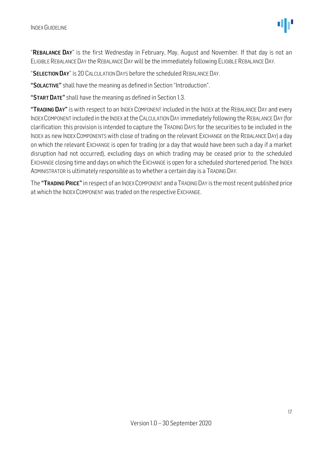"REBALANCE DAY" is the first Wednesday in February, May, August and November. If that day is not an ELIGIBLE REBALANCE DAY the REBALANCE DAY will be the immediately following ELIGIBLE REBALANCE DAY.

"SELECTION DAY" is 20 CALCULATION DAYS before the scheduled REBALANCE DAY.

"SOLACTIVE" shall have the meaning as defined in Section "Introduction".

"START DATE" shall have the meaning as defined in Section 1.3.

"TRADING DAY" is with respect to an INDEX COMPONENT included in the INDEX at the REBALANCE DAY and every INDEXCOMPONENT included in the INDEX at the CALCULATION DAY immediately following the REBALANCE DAY (for clarification: this provision is intended to capture the TRADING DAYS for the securities to be included in the INDEX as new INDEX COMPONENTS with close of trading on the relevant EXCHANGE on the REBALANCE DAY) a day on which the relevant EXCHANGE is open for trading (or a day that would have been such a day if a market disruption had not occurred), excluding days on which trading may be ceased prior to the scheduled EXCHANGE closing time and days on which the EXCHANGE is open for a scheduled shortened period. The INDEX ADMINISTRATOR is ultimately responsible as to whether a certain day is a TRADING DAY.

The "TRADING PRICE" in respect of an INDEX COMPONENT and a TRADING DAY is the most recent published price at which the INDEX COMPONENT was traded on the respective EXCHANGE.